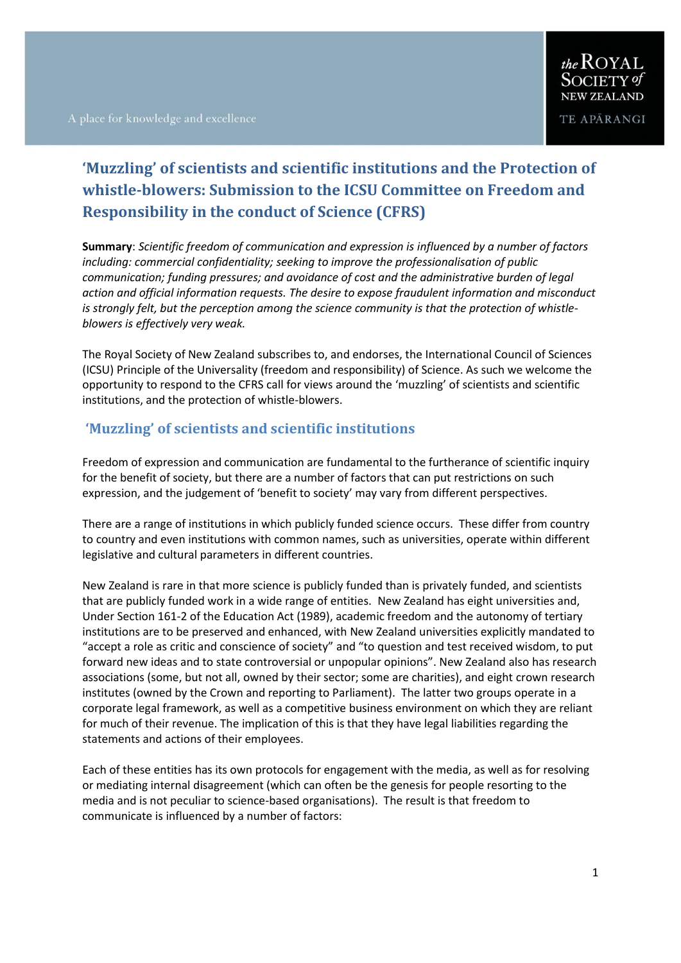# **'Muzzling' of scientists and scientific institutions and the Protection of whistle-blowers: Submission to the ICSU Committee on Freedom and Responsibility in the conduct of Science (CFRS)**

**Summary**: *Scientific freedom of communication and expression is influenced by a number of factors including: commercial confidentiality; seeking to improve the professionalisation of public communication; funding pressures; and avoidance of cost and the administrative burden of legal action and official information requests. The desire to expose fraudulent information and misconduct is strongly felt, but the perception among the science community is that the protection of whistleblowers is effectively very weak.*

The Royal Society of New Zealand subscribes to, and endorses, the International Council of Sciences (ICSU) Principle of the Universality (freedom and responsibility) of Science. As such we welcome the opportunity to respond to the CFRS call for views around the 'muzzling' of scientists and scientific institutions, and the protection of whistle-blowers.

### **'Muzzling' of scientists and scientific institutions**

Freedom of expression and communication are fundamental to the furtherance of scientific inquiry for the benefit of society, but there are a number of factors that can put restrictions on such expression, and the judgement of 'benefit to society' may vary from different perspectives.

There are a range of institutions in which publicly funded science occurs. These differ from country to country and even institutions with common names, such as universities, operate within different legislative and cultural parameters in different countries.

New Zealand is rare in that more science is publicly funded than is privately funded, and scientists that are publicly funded work in a wide range of entities. New Zealand has eight universities and, Under Section 161-2 of the Education Act (1989), academic freedom and the autonomy of tertiary institutions are to be preserved and enhanced, with New Zealand universities explicitly mandated to "accept a role as critic and conscience of society" and "to question and test received wisdom, to put forward new ideas and to state controversial or unpopular opinions". New Zealand also has research associations (some, but not all, owned by their sector; some are charities), and eight crown research institutes (owned by the Crown and reporting to Parliament). The latter two groups operate in a corporate legal framework, as well as a competitive business environment on which they are reliant for much of their revenue. The implication of this is that they have legal liabilities regarding the statements and actions of their employees.

Each of these entities has its own protocols for engagement with the media, as well as for resolving or mediating internal disagreement (which can often be the genesis for people resorting to the media and is not peculiar to science-based organisations). The result is that freedom to communicate is influenced by a number of factors: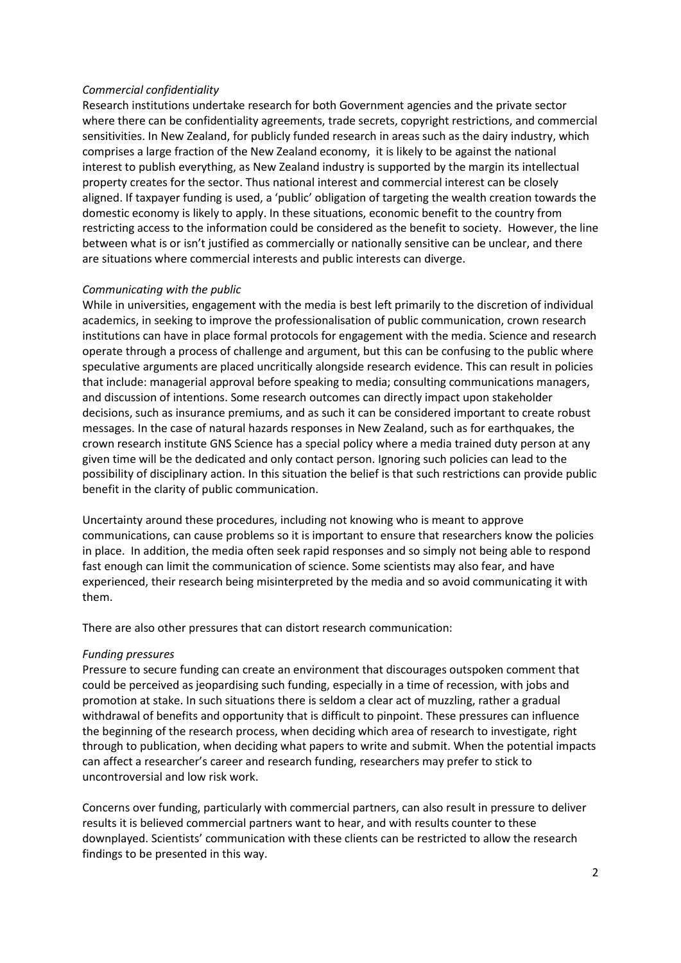#### *Commercial confidentiality*

Research institutions undertake research for both Government agencies and the private sector where there can be confidentiality agreements, trade secrets, copyright restrictions, and commercial sensitivities. In New Zealand, for publicly funded research in areas such as the dairy industry, which comprises a large fraction of the New Zealand economy, it is likely to be against the national interest to publish everything, as New Zealand industry is supported by the margin its intellectual property creates for the sector. Thus national interest and commercial interest can be closely aligned. If taxpayer funding is used, a 'public' obligation of targeting the wealth creation towards the domestic economy is likely to apply. In these situations, economic benefit to the country from restricting access to the information could be considered as the benefit to society. However, the line between what is or isn't justified as commercially or nationally sensitive can be unclear, and there are situations where commercial interests and public interests can diverge.

#### *Communicating with the public*

While in universities, engagement with the media is best left primarily to the discretion of individual academics, in seeking to improve the professionalisation of public communication, crown research institutions can have in place formal protocols for engagement with the media. Science and research operate through a process of challenge and argument, but this can be confusing to the public where speculative arguments are placed uncritically alongside research evidence. This can result in policies that include: managerial approval before speaking to media; consulting communications managers, and discussion of intentions. Some research outcomes can directly impact upon stakeholder decisions, such as insurance premiums, and as such it can be considered important to create robust messages. In the case of natural hazards responses in New Zealand, such as for earthquakes, the crown research institute GNS Science has a special policy where a media trained duty person at any given time will be the dedicated and only contact person. Ignoring such policies can lead to the possibility of disciplinary action. In this situation the belief is that such restrictions can provide public benefit in the clarity of public communication.

Uncertainty around these procedures, including not knowing who is meant to approve communications, can cause problems so it is important to ensure that researchers know the policies in place. In addition, the media often seek rapid responses and so simply not being able to respond fast enough can limit the communication of science. Some scientists may also fear, and have experienced, their research being misinterpreted by the media and so avoid communicating it with them.

There are also other pressures that can distort research communication:

### *Funding pressures*

Pressure to secure funding can create an environment that discourages outspoken comment that could be perceived as jeopardising such funding, especially in a time of recession, with jobs and promotion at stake. In such situations there is seldom a clear act of muzzling, rather a gradual withdrawal of benefits and opportunity that is difficult to pinpoint. These pressures can influence the beginning of the research process, when deciding which area of research to investigate, right through to publication, when deciding what papers to write and submit. When the potential impacts can affect a researcher's career and research funding, researchers may prefer to stick to uncontroversial and low risk work.

Concerns over funding, particularly with commercial partners, can also result in pressure to deliver results it is believed commercial partners want to hear, and with results counter to these downplayed. Scientists' communication with these clients can be restricted to allow the research findings to be presented in this way.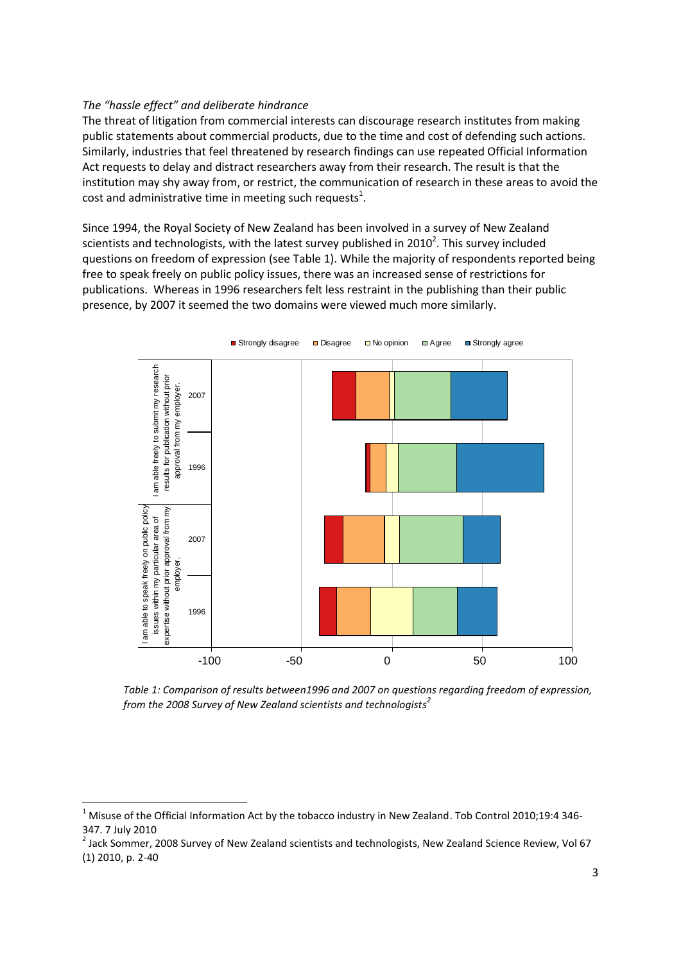### *The "hassle effect" and deliberate hindrance*

**.** 

The threat of litigation from commercial interests can discourage research institutes from making public statements about commercial products, due to the time and cost of defending such actions. Similarly, industries that feel threatened by research findings can use repeated Official Information Act requests to delay and distract researchers away from their research. The result is that the institution may shy away from, or restrict, the communication of research in these areas to avoid the cost and administrative time in meeting such requests<sup>1</sup>.

Since 1994, the Royal Society of New Zealand has been involved in a survey of New Zealand scientists and technologists, with the latest survey published in 2010<sup>2</sup>. This survey included questions on freedom of expression (see Table 1). While the majority of respondents reported being free to speak freely on public policy issues, there was an increased sense of restrictions for publications. Whereas in 1996 researchers felt less restraint in the publishing than their public presence, by 2007 it seemed the two domains were viewed much more similarly.



*Table 1: Comparison of results between1996 and 2007 on questions regarding freedom of expression, from the 2008 Survey of New Zealand scientists and technologists 2*

<sup>2</sup> Jack Sommer, 2008 Survey of New Zealand scientists and technologists, New Zealand Science Review, Vol 67 (1) 2010, p. 2-40

 $1$  Misuse of the Official Information Act by the tobacco industry in New Zealand. Tob Control 2010;19:4 346-347. 7 July 2010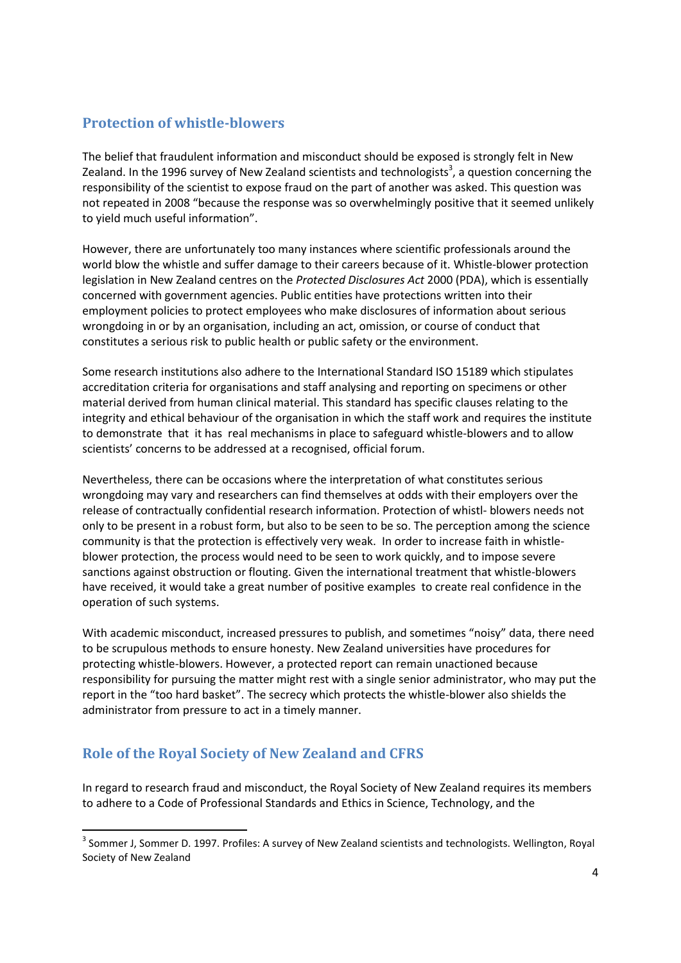## **Protection of whistle-blowers**

The belief that fraudulent information and misconduct should be exposed is strongly felt in New Zealand. In the 1996 survey of New Zealand scientists and technologists<sup>3</sup>, a question concerning the responsibility of the scientist to expose fraud on the part of another was asked. This question was not repeated in 2008 "because the response was so overwhelmingly positive that it seemed unlikely to yield much useful information".

However, there are unfortunately too many instances where scientific professionals around the world blow the whistle and suffer damage to their careers because of it. Whistle-blower protection legislation in New Zealand centres on the *Protected Disclosures Act* 2000 (PDA), which is essentially concerned with government agencies. Public entities have protections written into their employment policies to protect employees who make disclosures of information about serious wrongdoing in or by an organisation, including an act, omission, or course of conduct that constitutes a serious risk to public health or public safety or the environment.

Some research institutions also adhere to the International Standard ISO 15189 which stipulates accreditation criteria for organisations and staff analysing and reporting on specimens or other material derived from human clinical material. This standard has specific clauses relating to the integrity and ethical behaviour of the organisation in which the staff work and requires the institute to demonstrate that it has real mechanisms in place to safeguard whistle-blowers and to allow scientists' concerns to be addressed at a recognised, official forum.

Nevertheless, there can be occasions where the interpretation of what constitutes serious wrongdoing may vary and researchers can find themselves at odds with their employers over the release of contractually confidential research information. Protection of whistl- blowers needs not only to be present in a robust form, but also to be seen to be so. The perception among the science community is that the protection is effectively very weak. In order to increase faith in whistleblower protection, the process would need to be seen to work quickly, and to impose severe sanctions against obstruction or flouting. Given the international treatment that whistle-blowers have received, it would take a great number of positive examples to create real confidence in the operation of such systems.

With academic misconduct, increased pressures to publish, and sometimes "noisy" data, there need to be scrupulous methods to ensure honesty. New Zealand universities have procedures for protecting whistle-blowers. However, a protected report can remain unactioned because responsibility for pursuing the matter might rest with a single senior administrator, who may put the report in the "too hard basket". The secrecy which protects the whistle-blower also shields the administrator from pressure to act in a timely manner.

# **Role of the Royal Society of New Zealand and CFRS**

**.** 

In regard to research fraud and misconduct, the Royal Society of New Zealand requires its members to adhere to a Code of Professional Standards and Ethics in Science, Technology, and the

<sup>&</sup>lt;sup>3</sup> Sommer J, Sommer D. 1997. Profiles: A survey of New Zealand scientists and technologists. Wellington, Royal Society of New Zealand